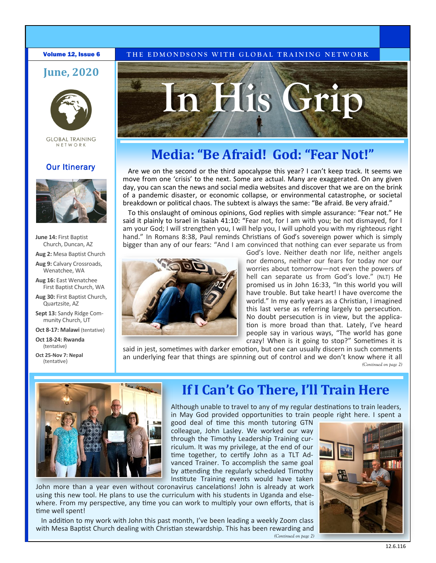# **June, 2020**



**GLOBAL TRAINING** NETWORK

### **Our Itinerary**



**June 14:** First Baptist Church, Duncan, AZ

**Aug 2:** Mesa Baptist Church

**Aug 9:** Calvary Crossroads, Wenatchee, WA

**Aug 16:** East Wenatchee First Baptist Church, WA

**Aug 30:** First Baptist Church, Quartzsite, AZ

**Sept 13:** Sandy Ridge Community Church, UT

**Oct 8-17: Malawi** (tentative)

**Oct 18-24: Rwanda**  (tentative)

**Oct 25-Nov 7: Nepal** (tentative)

## **Volume 12, Issue 6** THE EDMONDSONS WITH GLOBAL TRAINING NETWORK



# **Media: "Be Afraid! God: "Fear Not!"**

Are we on the second or the third apocalypse this year? I can't keep track. It seems we move from one 'crisis' to the next. Some are actual. Many are exaggerated. On any given day, you can scan the news and social media websites and discover that we are on the brink of a pandemic disaster, or economic collapse, or environmental catastrophe, or societal breakdown or political chaos. The subtext is always the same: "Be afraid. Be very afraid."

To this onslaught of ominous opinions, God replies with simple assurance: "Fear not." He said it plainly to Israel in Isaiah 41:10: "Fear not, for I am with you; be not dismayed, for I am your God; I will strengthen you, I will help you, I will uphold you with my righteous right hand." In Romans 8:38, Paul reminds Christians of God's sovereign power which is simply bigger than any of our fears: "And I am convinced that nothing can ever separate us from



God's love. Neither death nor life, neither angels nor demons, neither our fears for today nor our worries about tomorrow—not even the powers of hell can separate us from God's love." (NLT) He promised us in John 16:33, "In this world you will have trouble. But take heart! I have overcome the world." In my early years as a Christian, I imagined this last verse as referring largely to persecution. No doubt persecution is in view, but the application is more broad than that. Lately, I've heard people say in various ways, "The world has gone crazy! When is it going to stop?" Sometimes it is

said in jest, sometimes with darker emotion, but one can usually discern in such comments an underlying fear that things are spinning out of control and we don't know where it all *(Continued on page 2)*



# **If I Can't Go There, I'll Train Here**

Although unable to travel to any of my regular destinations to train leaders, in May God provided opportunities to train people right here. I spent a

good deal of time this month tutoring GTN colleague, John Lasley. We worked our way through the Timothy Leadership Training curriculum. It was my privilege, at the end of our time together, to certify John as a TLT Advanced Trainer. To accomplish the same goal by attending the regularly scheduled Timothy Institute Training events would have taken

John more than a year even without coronavirus cancelations! John is already at work using this new tool. He plans to use the curriculum with his students in Uganda and elsewhere. From my perspective, any time you can work to multiply your own efforts, that is time well spent!

In addition to my work with John this past month, I've been leading a weekly Zoom class with Mesa Baptist Church dealing with Christian stewardship. This has been rewarding and *(Continued on page 2)*